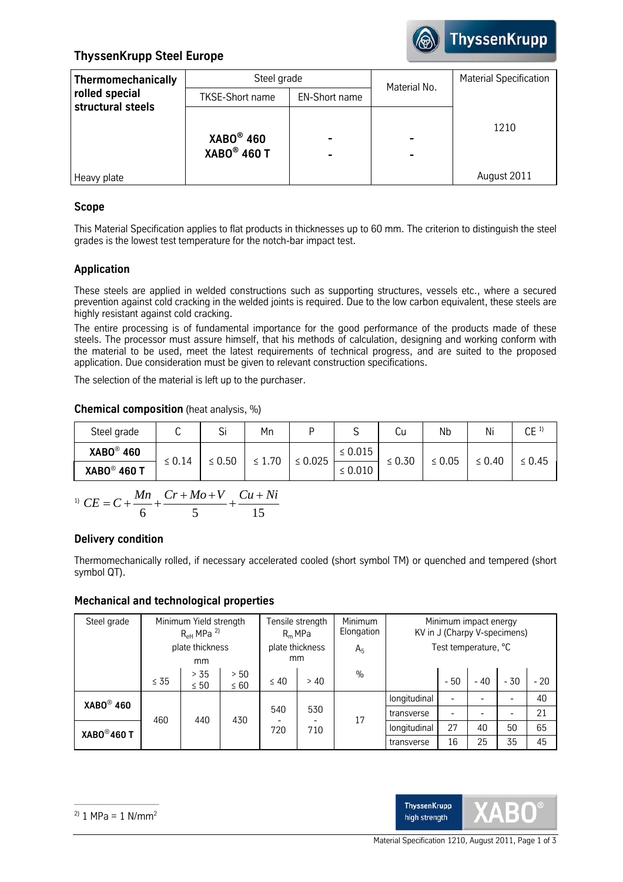

# **ThyssenKrupp Steel Europe**

| <b>Thermomechanically</b>           | Steel grade                  |                      | Material No.                               | <b>Material Specification</b> |  |
|-------------------------------------|------------------------------|----------------------|--------------------------------------------|-------------------------------|--|
| rolled special<br>structural steels | <b>TKSE-Short name</b>       | <b>EN-Short name</b> |                                            |                               |  |
|                                     | $XABO®$ 460<br>$XABO®$ 460 T |                      | $\overline{\phantom{0}}$<br>$\blacksquare$ | 1210                          |  |
| Heavy plate                         |                              |                      |                                            | August 2011                   |  |

# **Scope**

This Material Specification applies to flat products in thicknesses up to 60 mm. The criterion to distinguish the steel grades is the lowest test temperature for the notch-bar impact test.

# **Application**

These steels are applied in welded constructions such as supporting structures, vessels etc., where a secured prevention against cold cracking in the welded joints is required. Due to the low carbon equivalent, these steels are highly resistant against cold cracking.

The entire processing is of fundamental importance for the good performance of the products made of these steels. The processor must assure himself, that his methods of calculation, designing and working conform with the material to be used, meet the latest requirements of technical progress, and are suited to the proposed application. Due consideration must be given to relevant construction specifications.

The selection of the material is left up to the purchaser.

# **Chemical composition** (heat analysis, %)

| Steel grade        | ັ           | <b></b><br>ы | Mn          |              | ◡            | Cu          | Nb     | Ni          | CE <sup>1</sup> |
|--------------------|-------------|--------------|-------------|--------------|--------------|-------------|--------|-------------|-----------------|
| <b>XABO® 460</b>   |             | $\leq 0.50$  | $\leq 1.70$ | $\leq 0.025$ | $\leq 0.015$ | $\leq 0.30$ | ≤ 0.05 | $\leq 0.40$ | $\leq 0.45$     |
| <b>XABO® 460 T</b> | $\leq 0.14$ |              |             |              | $\leq 0.010$ |             |        |             |                 |

$$
^{1)}\ CE = C + \frac{Mn}{6} + \frac{Cr + Mo + V}{5} + \frac{Cu + Ni}{15}
$$

## **Delivery condition**

Thermomechanically rolled, if necessary accelerated cooled (short symbol TM) or quenched and tempered (short symbol QT).

## **Mechanical and technological properties**

| Steel grade              | Minimum Yield strength<br>$R_{\text{eH}}$ MPa <sup>2)</sup> |                   |                       | Tensile strength<br>$R_m$ MPa |                | Minimum<br>Elongation | Minimum impact energy<br>KV in J (Charpy V-specimens) |       |       |       |       |
|--------------------------|-------------------------------------------------------------|-------------------|-----------------------|-------------------------------|----------------|-----------------------|-------------------------------------------------------|-------|-------|-------|-------|
|                          | plate thickness<br>mm                                       |                   | plate thickness<br>mm |                               | A <sub>5</sub> | Test temperature, °C  |                                                       |       |       |       |       |
|                          | $\leq 35$                                                   | > 35<br>$\leq 50$ | > 50<br>$\leq 60$     | $\leq 40$                     | > 40           | $\frac{0}{0}$         |                                                       | $-50$ | $-40$ | $-30$ | $-20$ |
| <b>XABO® 460</b>         | 460<br>440                                                  |                   | 430                   | 540<br>720                    | 530<br>710     | 17                    | longitudinal                                          |       |       | -     | 40    |
|                          |                                                             |                   |                       |                               |                |                       | transverse                                            |       |       |       | 21    |
| $XABO^{\circledR}$ 460 T |                                                             |                   |                       |                               |                |                       | longitudinal                                          | 27    | 40    | 50    | 65    |
|                          |                                                             |                   |                       |                               |                |                       | transverse                                            | 16    | 25    | 35    | 45    |

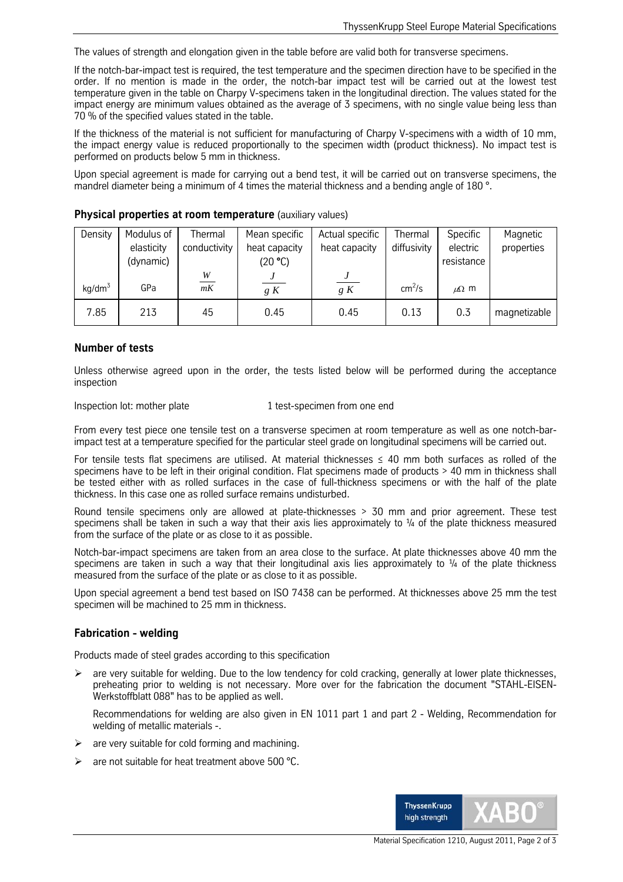The values of strength and elongation given in the table before are valid both for transverse specimens.

If the notch-bar-impact test is required, the test temperature and the specimen direction have to be specified in the order. If no mention is made in the order, the notch-bar impact test will be carried out at the lowest test temperature given in the table on Charpy V-specimens taken in the longitudinal direction. The values stated for the impact energy are minimum values obtained as the average of 3 specimens, with no single value being less than 70 % of the specified values stated in the table.

If the thickness of the material is not sufficient for manufacturing of Charpy V-specimens with a width of 10 mm, the impact energy value is reduced proportionally to the specimen width (product thickness). No impact test is performed on products below 5 mm in thickness.

Upon special agreement is made for carrying out a bend test, it will be carried out on transverse specimens, the mandrel diameter being a minimum of 4 times the material thickness and a bending angle of 180 °.

| Density   | Modulus of | <b>Thermal</b> | Mean specific | Actual specific | Thermal            | Specific      | Magnetic     |
|-----------|------------|----------------|---------------|-----------------|--------------------|---------------|--------------|
|           | elasticity | conductivity   | heat capacity | heat capacity   | diffusivity        | electric      | properties   |
|           | (dynamic)  |                | (20 °C)       |                 |                    | resistance    |              |
|           |            | $\frac{W}{mK}$ |               |                 |                    |               |              |
| $kq/dm^3$ | GPa        |                | g K           | g K             | cm <sup>2</sup> /s | $\mu\Omega$ m |              |
| 7.85      | 213        | 45             | 0.45          | 0.45            | 0.13               | 0.3           | magnetizable |

#### **Physical properties at room temperature** (auxiliary values)

### **Number of tests**

Unless otherwise agreed upon in the order, the tests listed below will be performed during the acceptance inspection

#### Inspection lot: mother plate 1 test-specimen from one end

From every test piece one tensile test on a transverse specimen at room temperature as well as one notch-barimpact test at a temperature specified for the particular steel grade on longitudinal specimens will be carried out.

For tensile tests flat specimens are utilised. At material thicknesses  $\leq$  40 mm both surfaces as rolled of the specimens have to be left in their original condition. Flat specimens made of products > 40 mm in thickness shall be tested either with as rolled surfaces in the case of full-thickness specimens or with the half of the plate thickness. In this case one as rolled surface remains undisturbed.

Round tensile specimens only are allowed at plate-thicknesses > 30 mm and prior agreement. These test specimens shall be taken in such a way that their axis lies approximately to  $\frac{1}{4}$  of the plate thickness measured from the surface of the plate or as close to it as possible.

Notch-bar-impact specimens are taken from an area close to the surface. At plate thicknesses above 40 mm the specimens are taken in such a way that their longitudinal axis lies approximately to  $\frac{1}{4}$  of the plate thickness measured from the surface of the plate or as close to it as possible.

Upon special agreement a bend test based on ISO 7438 can be performed. At thicknesses above 25 mm the test specimen will be machined to 25 mm in thickness.

### **Fabrication - welding**

Products made of steel grades according to this specification

are very suitable for welding. Due to the low tendency for cold cracking, generally at lower plate thicknesses, preheating prior to welding is not necessary. More over for the fabrication the document "STAHL-EISEN-Werkstoffblatt 088" has to be applied as well.

Recommendations for welding are also given in EN 1011 part 1 and part 2 - Welding, Recommendation for welding of metallic materials -.

- are very suitable for cold forming and machining.
- $\triangleright$  are not suitable for heat treatment above 500 °C.